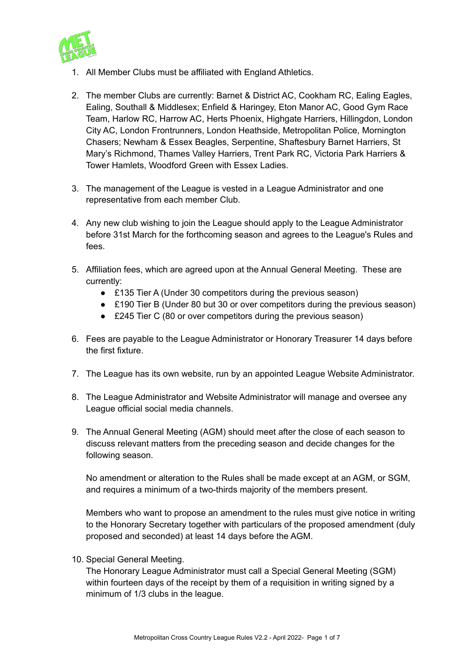

- 1. All Member Clubs must be affiliated with England Athletics.
- 2. The member Clubs are currently: Barnet & District AC, Cookham RC, Ealing Eagles, Ealing, Southall & Middlesex; Enfield & Haringey, Eton Manor AC, Good Gym Race Team, Harlow RC, Harrow AC, Herts Phoenix, Highgate Harriers, Hillingdon, London City AC, London Frontrunners, London Heathside, Metropolitan Police, Mornington Chasers; Newham & Essex Beagles, Serpentine, Shaftesbury Barnet Harriers, St Mary's Richmond, Thames Valley Harriers, Trent Park RC, Victoria Park Harriers & Tower Hamlets, Woodford Green with Essex Ladies.
- 3. The management of the League is vested in a League Administrator and one representative from each member Club.
- 4. Any new club wishing to join the League should apply to the League Administrator before 31st March for the forthcoming season and agrees to the League's Rules and fees.
- 5. Affiliation fees, which are agreed upon at the Annual General Meeting. These are currently:
	- £135 Tier A (Under 30 competitors during the previous season)
	- £190 Tier B (Under 80 but 30 or over competitors during the previous season)
	- £245 Tier C (80 or over competitors during the previous season)
- 6. Fees are payable to the League Administrator or Honorary Treasurer 14 days before the first fixture.
- 7. The League has its own website, run by an appointed League Website Administrator.
- 8. The League Administrator and Website Administrator will manage and oversee any League official social media channels.
- 9. The Annual General Meeting (AGM) should meet after the close of each season to discuss relevant matters from the preceding season and decide changes for the following season.

No amendment or alteration to the Rules shall be made except at an AGM, or SGM, and requires a minimum of a two-thirds majority of the members present.

Members who want to propose an amendment to the rules must give notice in writing to the Honorary Secretary together with particulars of the proposed amendment (duly proposed and seconded) at least 14 days before the AGM.

10. Special General Meeting.

The Honorary League Administrator must call a Special General Meeting (SGM) within fourteen days of the receipt by them of a requisition in writing signed by a minimum of 1/3 clubs in the league.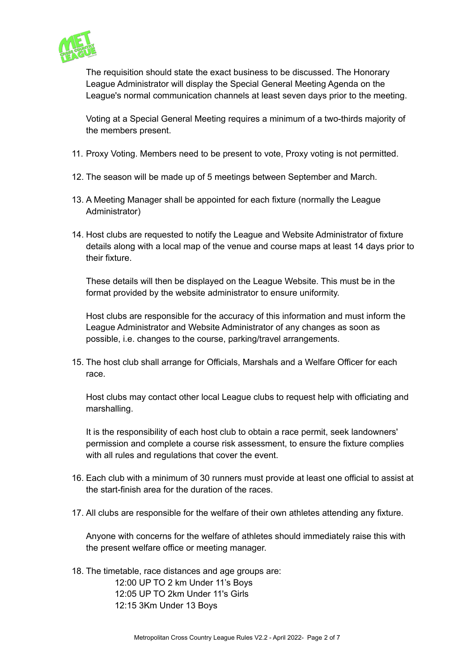

The requisition should state the exact business to be discussed. The Honorary League Administrator will display the Special General Meeting Agenda on the League's normal communication channels at least seven days prior to the meeting.

Voting at a Special General Meeting requires a minimum of a two-thirds majority of the members present.

- 11. Proxy Voting. Members need to be present to vote, Proxy voting is not permitted.
- 12. The season will be made up of 5 meetings between September and March.
- 13. A Meeting Manager shall be appointed for each fixture (normally the League Administrator)
- 14. Host clubs are requested to notify the League and Website Administrator of fixture details along with a local map of the venue and course maps at least 14 days prior to their fixture.

These details will then be displayed on the League Website. This must be in the format provided by the website administrator to ensure uniformity.

Host clubs are responsible for the accuracy of this information and must inform the League Administrator and Website Administrator of any changes as soon as possible, i.e. changes to the course, parking/travel arrangements.

15. The host club shall arrange for Officials, Marshals and a Welfare Officer for each race.

Host clubs may contact other local League clubs to request help with officiating and marshalling.

It is the responsibility of each host club to obtain a race permit, seek landowners' permission and complete a course risk assessment, to ensure the fixture complies with all rules and regulations that cover the event.

- 16. Each club with a minimum of 30 runners must provide at least one official to assist at the start-finish area for the duration of the races.
- 17. All clubs are responsible for the welfare of their own athletes attending any fixture.

Anyone with concerns for the welfare of athletes should immediately raise this with the present welfare office or meeting manager.

18. The timetable, race distances and age groups are:

12:00 UP TO 2 km Under 11's Boys 12:05 UP TO 2km Under 11's Girls 12:15 3Km Under 13 Boys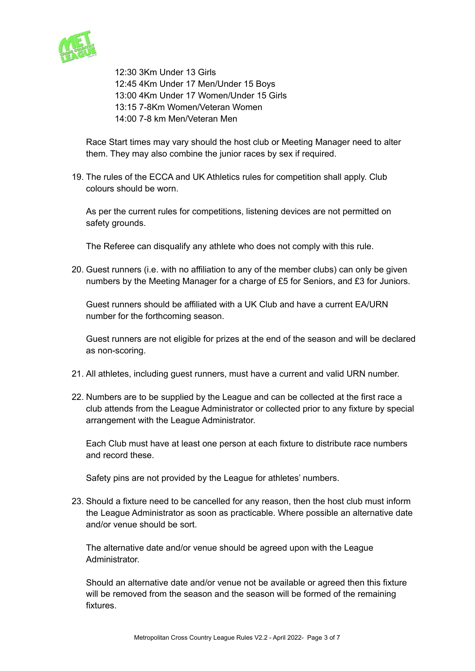

12:30 3Km Under 13 Girls 12:45 4Km Under 17 Men/Under 15 Boys 13:00 4Km Under 17 Women/Under 15 Girls 13:15 7-8Km Women/Veteran Women 14:00 7-8 km Men/Veteran Men

Race Start times may vary should the host club or Meeting Manager need to alter them. They may also combine the junior races by sex if required.

19. The rules of the ECCA and UK Athletics rules for competition shall apply. Club colours should be worn.

As per the current rules for competitions, listening devices are not permitted on safety grounds.

The Referee can disqualify any athlete who does not comply with this rule.

20. Guest runners (i.e. with no affiliation to any of the member clubs) can only be given numbers by the Meeting Manager for a charge of £5 for Seniors, and £3 for Juniors.

Guest runners should be affiliated with a UK Club and have a current EA/URN number for the forthcoming season.

Guest runners are not eligible for prizes at the end of the season and will be declared as non-scoring.

- 21. All athletes, including guest runners, must have a current and valid URN number.
- 22. Numbers are to be supplied by the League and can be collected at the first race a club attends from the League Administrator or collected prior to any fixture by special arrangement with the League Administrator.

Each Club must have at least one person at each fixture to distribute race numbers and record these.

Safety pins are not provided by the League for athletes' numbers.

23. Should a fixture need to be cancelled for any reason, then the host club must inform the League Administrator as soon as practicable. Where possible an alternative date and/or venue should be sort.

The alternative date and/or venue should be agreed upon with the League Administrator.

Should an alternative date and/or venue not be available or agreed then this fixture will be removed from the season and the season will be formed of the remaining fixtures.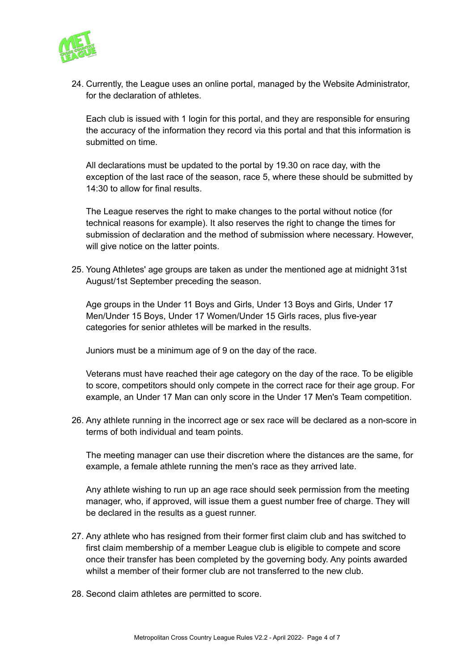

24. Currently, the League uses an online portal, managed by the Website Administrator, for the declaration of athletes.

Each club is issued with 1 login for this portal, and they are responsible for ensuring the accuracy of the information they record via this portal and that this information is submitted on time.

All declarations must be updated to the portal by 19.30 on race day, with the exception of the last race of the season, race 5, where these should be submitted by 14:30 to allow for final results.

The League reserves the right to make changes to the portal without notice (for technical reasons for example). It also reserves the right to change the times for submission of declaration and the method of submission where necessary. However, will give notice on the latter points.

25. Young Athletes' age groups are taken as under the mentioned age at midnight 31st August/1st September preceding the season.

Age groups in the Under 11 Boys and Girls, Under 13 Boys and Girls, Under 17 Men/Under 15 Boys, Under 17 Women/Under 15 Girls races, plus five-year categories for senior athletes will be marked in the results.

Juniors must be a minimum age of 9 on the day of the race.

Veterans must have reached their age category on the day of the race. To be eligible to score, competitors should only compete in the correct race for their age group. For example, an Under 17 Man can only score in the Under 17 Men's Team competition.

26. Any athlete running in the incorrect age or sex race will be declared as a non-score in terms of both individual and team points.

The meeting manager can use their discretion where the distances are the same, for example, a female athlete running the men's race as they arrived late.

Any athlete wishing to run up an age race should seek permission from the meeting manager, who, if approved, will issue them a guest number free of charge. They will be declared in the results as a guest runner.

- 27. Any athlete who has resigned from their former first claim club and has switched to first claim membership of a member League club is eligible to compete and score once their transfer has been completed by the governing body. Any points awarded whilst a member of their former club are not transferred to the new club.
- 28. Second claim athletes are permitted to score.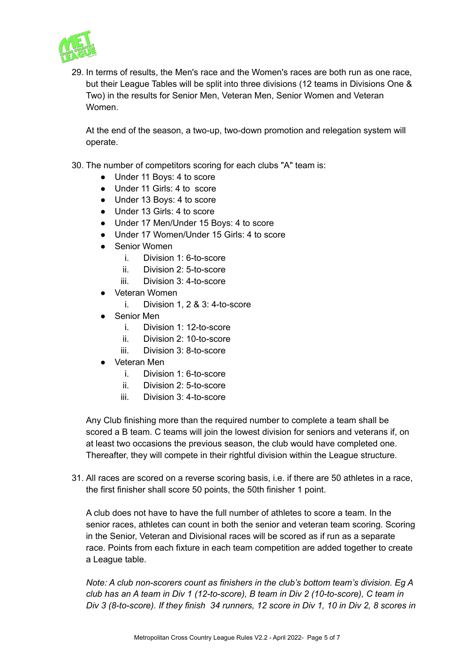

29. In terms of results, the Men's race and the Women's races are both run as one race, but their League Tables will be split into three divisions (12 teams in Divisions One & Two) in the results for Senior Men, Veteran Men, Senior Women and Veteran Women.

At the end of the season, a two-up, two-down promotion and relegation system will operate.

- 30. The number of competitors scoring for each clubs "A" team is:
	- Under 11 Boys: 4 to score
	- Under 11 Girls: 4 to score
	- Under 13 Boys: 4 to score
	- Under 13 Girls: 4 to score
	- Under 17 Men/Under 15 Boys: 4 to score
	- Under 17 Women/Under 15 Girls: 4 to score
	- Senior Women
		- i. Division 1: 6-to-score
		- ii. Division 2: 5-to-score
		- iii. Division 3: 4-to-score
	- Veteran Women
		- i. Division 1, 2 & 3: 4-to-score
	- Senior Men
		- i. Division 1: 12-to-score
		- ii. Division 2: 10-to-score
		- iii. Division 3: 8-to-score
	- Veteran Men
		- i. Division 1: 6-to-score
		- ii. Division 2: 5-to-score
		- iii. Division 3: 4-to-score

Any Club finishing more than the required number to complete a team shall be scored a B team. C teams will join the lowest division for seniors and veterans if, on at least two occasions the previous season, the club would have completed one. Thereafter, they will compete in their rightful division within the League structure.

31. All races are scored on a reverse scoring basis, i.e. if there are 50 athletes in a race, the first finisher shall score 50 points, the 50th finisher 1 point.

A club does not have to have the full number of athletes to score a team. In the senior races, athletes can count in both the senior and veteran team scoring. Scoring in the Senior, Veteran and Divisional races will be scored as if run as a separate race. Points from each fixture in each team competition are added together to create a League table.

*Note: A club non-scorers count as finishers in the club's bottom team's division. Eg A club has an A team in Div 1 (12-to-score), B team in Div 2 (10-to-score), C team in* Div 3 (8-to-score). If they finish 34 runners, 12 score in Div 1, 10 in Div 2, 8 scores in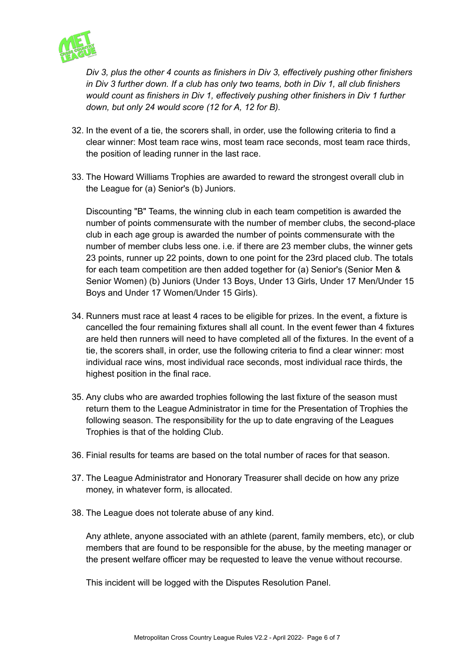

*Div 3, plus the other 4 counts as finishers in Div 3, effectively pushing other finishers in Div 3 further down. If a club has only two teams, both in Div 1, all club finishers would count as finishers in Div 1, effectively pushing other finishers in Div 1 further down, but only 24 would score (12 for A, 12 for B).*

- 32. In the event of a tie, the scorers shall, in order, use the following criteria to find a clear winner: Most team race wins, most team race seconds, most team race thirds, the position of leading runner in the last race.
- 33. The Howard Williams Trophies are awarded to reward the strongest overall club in the League for (a) Senior's (b) Juniors.

Discounting "B" Teams, the winning club in each team competition is awarded the number of points commensurate with the number of member clubs, the second-place club in each age group is awarded the number of points commensurate with the number of member clubs less one. i.e. if there are 23 member clubs, the winner gets 23 points, runner up 22 points, down to one point for the 23rd placed club. The totals for each team competition are then added together for (a) Senior's (Senior Men & Senior Women) (b) Juniors (Under 13 Boys, Under 13 Girls, Under 17 Men/Under 15 Boys and Under 17 Women/Under 15 Girls).

- 34. Runners must race at least 4 races to be eligible for prizes. In the event, a fixture is cancelled the four remaining fixtures shall all count. In the event fewer than 4 fixtures are held then runners will need to have completed all of the fixtures. In the event of a tie, the scorers shall, in order, use the following criteria to find a clear winner: most individual race wins, most individual race seconds, most individual race thirds, the highest position in the final race.
- 35. Any clubs who are awarded trophies following the last fixture of the season must return them to the League Administrator in time for the Presentation of Trophies the following season. The responsibility for the up to date engraving of the Leagues Trophies is that of the holding Club.
- 36. Finial results for teams are based on the total number of races for that season.
- 37. The League Administrator and Honorary Treasurer shall decide on how any prize money, in whatever form, is allocated.
- 38. The League does not tolerate abuse of any kind.

Any athlete, anyone associated with an athlete (parent, family members, etc), or club members that are found to be responsible for the abuse, by the meeting manager or the present welfare officer may be requested to leave the venue without recourse.

This incident will be logged with the Disputes Resolution Panel.